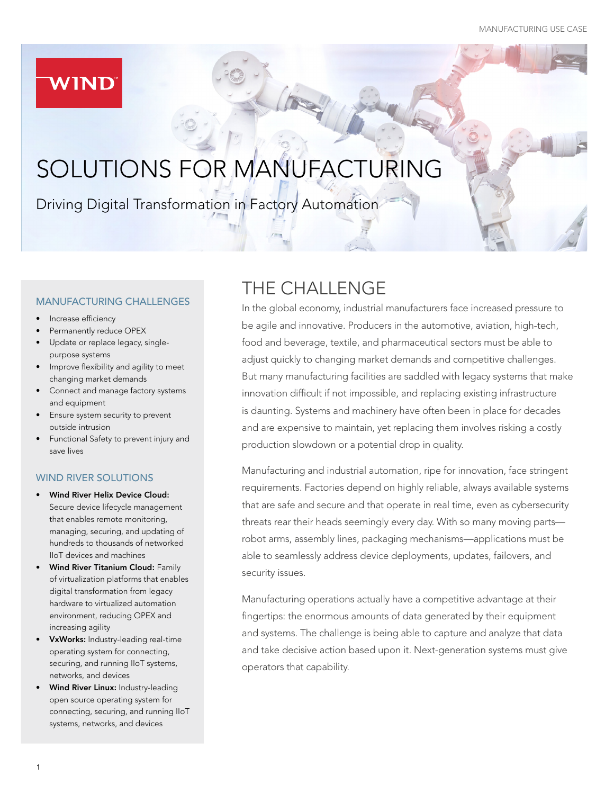## **WIND**

# SOLUTIONS FOR MANUFACTURING

Driving Digital Transformation in Factory Automation

#### MANUFACTURING CHALLENGES

- Increase efficiency
- Permanently reduce OPEX
- Update or replace legacy, singlepurpose systems
- Improve flexibility and agility to meet changing market demands
- Connect and manage factory systems and equipment
- Ensure system security to prevent outside intrusion
- Functional Safety to prevent injury and save lives

#### WIND RIVER SOLUTIONS

- Wind River Helix Device Cloud: Secure device lifecycle management that enables remote monitoring, managing, securing, and updating of hundreds to thousands of networked IIoT devices and machines
- Wind River Titanium Cloud: Family of virtualization platforms that enables digital transformation from legacy hardware to virtualized automation environment, reducing OPEX and increasing agility
- VxWorks: Industry-leading real-time operating system for connecting, securing, and running IIoT systems, networks, and devices
- Wind River Linux: Industry-leading open source operating system for connecting, securing, and running IIoT systems, networks, and devices

# THE CHALLENGE

In the global economy, industrial manufacturers face increased pressure to be agile and innovative. Producers in the automotive, aviation, high-tech, food and beverage, textile, and pharmaceutical sectors must be able to adjust quickly to changing market demands and competitive challenges. But many manufacturing facilities are saddled with legacy systems that make innovation difficult if not impossible, and replacing existing infrastructure is daunting. Systems and machinery have often been in place for decades and are expensive to maintain, yet replacing them involves risking a costly production slowdown or a potential drop in quality.

Manufacturing and industrial automation, ripe for innovation, face stringent requirements. Factories depend on highly reliable, always available systems that are safe and secure and that operate in real time, even as cybersecurity threats rear their heads seemingly every day. With so many moving parts robot arms, assembly lines, packaging mechanisms—applications must be able to seamlessly address device deployments, updates, failovers, and security issues.

Manufacturing operations actually have a competitive advantage at their fingertips: the enormous amounts of data generated by their equipment and systems. The challenge is being able to capture and analyze that data and take decisive action based upon it. Next-generation systems must give operators that capability.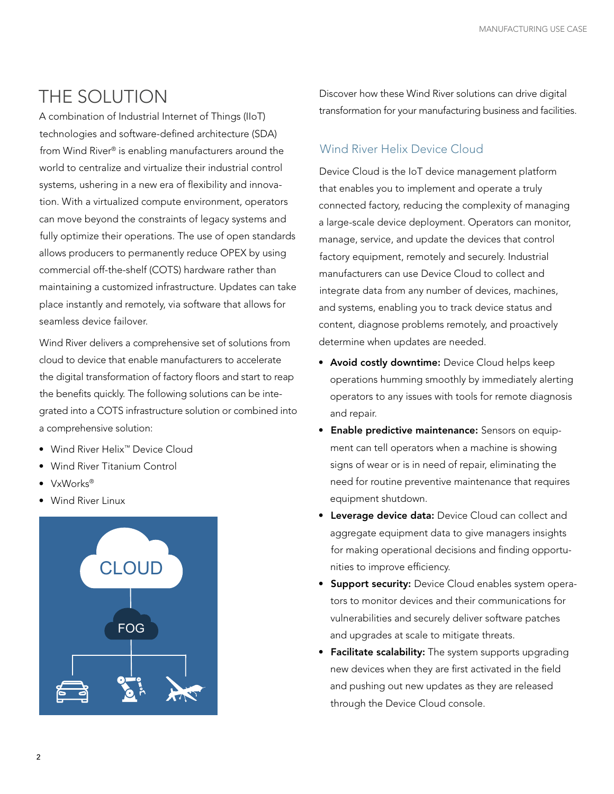# THE SOLUTION

A combination of Industrial Internet of Things (IIoT) technologies and software-defined architecture (SDA) from Wind River® is enabling manufacturers around the world to centralize and virtualize their industrial control systems, ushering in a new era of flexibility and innovation. With a virtualized compute environment, operators can move beyond the constraints of legacy systems and fully optimize their operations. The use of open standards allows producers to permanently reduce OPEX by using commercial off-the-shelf (COTS) hardware rather than maintaining a customized infrastructure. Updates can take place instantly and remotely, via software that allows for seamless device failover.

Wind River delivers a comprehensive set of solutions from cloud to device that enable manufacturers to accelerate the digital transformation of factory floors and start to reap the benefits quickly. The following solutions can be integrated into a COTS infrastructure solution or combined into a comprehensive solution:

- Wind River Helix™ Device Cloud
- Wind River Titanium Control
- VxWorks®
- Wind River Linux



Discover how these Wind River solutions can drive digital transformation for your manufacturing business and facilities.

#### Wind River Helix Device Cloud

Device Cloud is the IoT device management platform that enables you to implement and operate a truly connected factory, reducing the complexity of managing a large-scale device deployment. Operators can monitor, manage, service, and update the devices that control factory equipment, remotely and securely. Industrial manufacturers can use Device Cloud to collect and integrate data from any number of devices, machines, and systems, enabling you to track device status and content, diagnose problems remotely, and proactively determine when updates are needed.

- Avoid costly downtime: Device Cloud helps keep operations humming smoothly by immediately alerting operators to any issues with tools for remote diagnosis and repair.
- Enable predictive maintenance: Sensors on equipment can tell operators when a machine is showing signs of wear or is in need of repair, eliminating the need for routine preventive maintenance that requires equipment shutdown.
- Leverage device data: Device Cloud can collect and aggregate equipment data to give managers insights for making operational decisions and finding opportunities to improve efficiency.
- **Support security:** Device Cloud enables system operators to monitor devices and their communications for vulnerabilities and securely deliver software patches and upgrades at scale to mitigate threats.
- Facilitate scalability: The system supports upgrading new devices when they are first activated in the field and pushing out new updates as they are released through the Device Cloud console.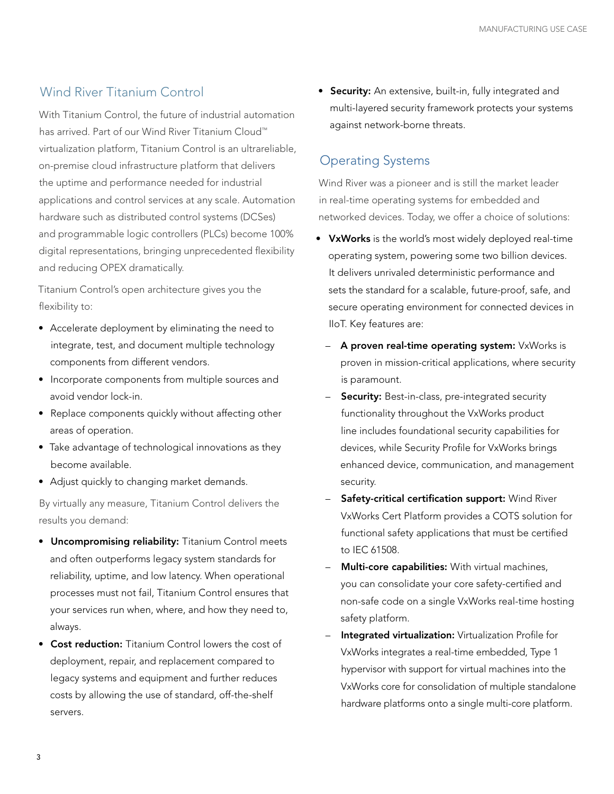### Wind River Titanium Control

With Titanium Control, the future of industrial automation has arrived. Part of our Wind River Titanium Cloud™ virtualization platform, Titanium Control is an ultrareliable, on-premise cloud infrastructure platform that delivers the uptime and performance needed for industrial applications and control services at any scale. Automation hardware such as distributed control systems (DCSes) and programmable logic controllers (PLCs) become 100% digital representations, bringing unprecedented flexibility and reducing OPEX dramatically.

Titanium Control's open architecture gives you the flexibility to:

- Accelerate deployment by eliminating the need to integrate, test, and document multiple technology components from different vendors.
- Incorporate components from multiple sources and avoid vendor lock-in.
- Replace components quickly without affecting other areas of operation.
- Take advantage of technological innovations as they become available.
- Adjust quickly to changing market demands.

By virtually any measure, Titanium Control delivers the results you demand:

- Uncompromising reliability: Titanium Control meets and often outperforms legacy system standards for reliability, uptime, and low latency. When operational processes must not fail, Titanium Control ensures that your services run when, where, and how they need to, always.
- Cost reduction: Titanium Control lowers the cost of deployment, repair, and replacement compared to legacy systems and equipment and further reduces costs by allowing the use of standard, off-the-shelf servers.

**• Security:** An extensive, built-in, fully integrated and multi-layered security framework protects your systems against network-borne threats.

### Operating Systems

Wind River was a pioneer and is still the market leader in real-time operating systems for embedded and networked devices. Today, we offer a choice of solutions:

- VxWorks is the world's most widely deployed real-time operating system, powering some two billion devices. It delivers unrivaled deterministic performance and sets the standard for a scalable, future-proof, safe, and secure operating environment for connected devices in IIoT. Key features are:
	- A proven real-time operating system: VxWorks is proven in mission-critical applications, where security is paramount.
	- Security: Best-in-class, pre-integrated security functionality throughout the VxWorks product line includes foundational security capabilities for devices, while Security Profile for VxWorks brings enhanced device, communication, and management security.
	- Safety-critical certification support: Wind River VxWorks Cert Platform provides a COTS solution for functional safety applications that must be certified to IEC 61508.
	- Multi-core capabilities: With virtual machines, you can consolidate your core safety-certified and non-safe code on a single VxWorks real-time hosting safety platform.
	- Integrated virtualization: Virtualization Profile for VxWorks integrates a real-time embedded, Type 1 hypervisor with support for virtual machines into the VxWorks core for consolidation of multiple standalone hardware platforms onto a single multi-core platform.